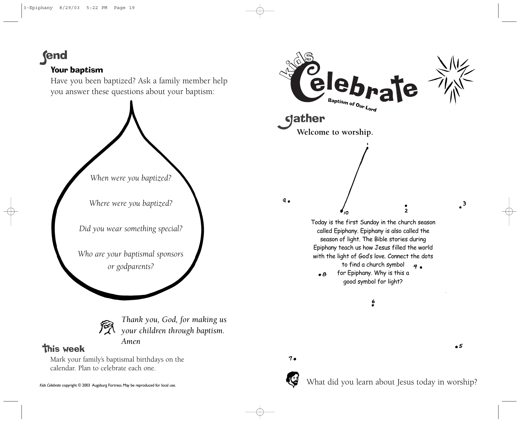**(end** 

## Your baptism

Have you been baptized? Ask a family member help you answer these questions about your baptism:



*Did you wear something special?*

*Who are your baptismal sponsors or godparents?*



*Thank you, God, for making us your children through baptism. Amen*

## **This week**

Mark your family's baptismal birthdays on the calendar. Plan to celebrate each one.



 $7.$ 



What did you learn about Jesus today in worship?

 $\bullet$  5